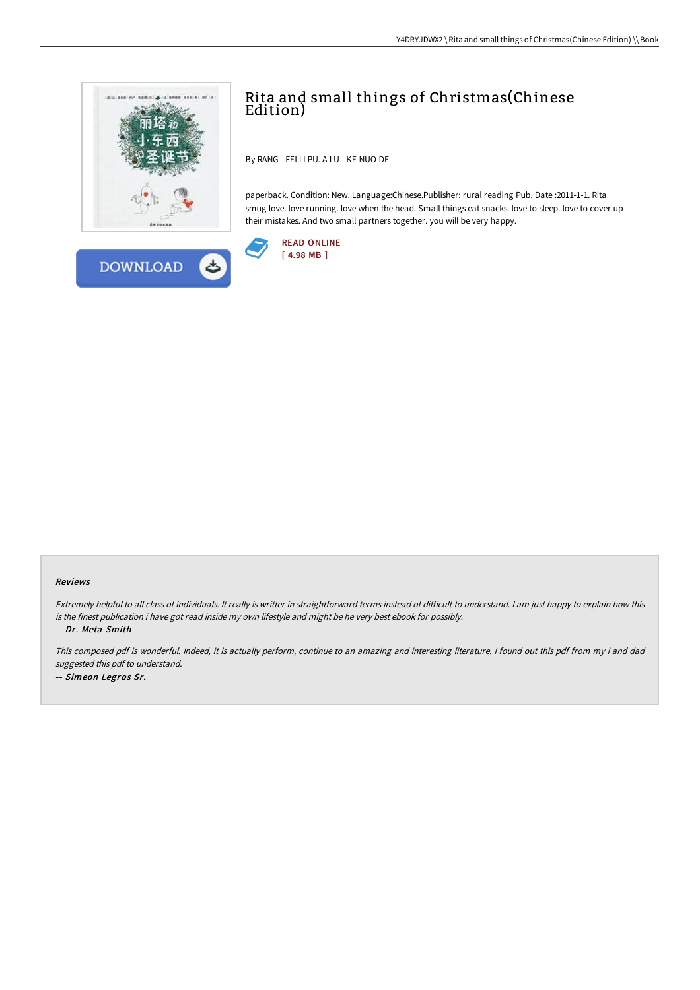



By RANG - FEI LI PU. A LU - KE NUO DE

paperback. Condition: New. Language:Chinese.Publisher: rural reading Pub. Date :2011-1-1. Rita smug love. love running. love when the head. Small things eat snacks. love to sleep. love to cover up their mistakes. And two small partners together. you will be very happy.



# READ [ONLINE](http://techno-pub.tech/rita-and-small-things-of-christmas-chinese-editi.html) [ 4.98 MB ]

#### Reviews

Extremely helpful to all class of individuals. It really is writter in straightforward terms instead of difficult to understand. I am just happy to explain how this is the finest publication i have got read inside my own lifestyle and might be he very best ebook for possibly. -- Dr. Meta Smith

This composed pdf is wonderful. Indeed, it is actually perform, continue to an amazing and interesting literature. <sup>I</sup> found out this pdf from my i and dad suggested this pdf to understand. -- Simeon Legros Sr.